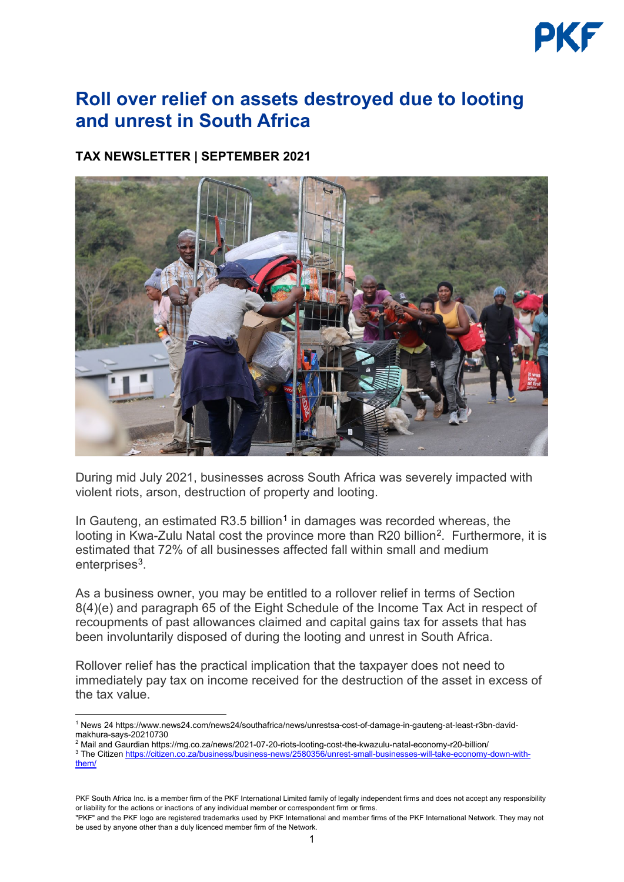

## **Roll over relief on assets destroyed due to looting and unrest in South Africa**

## **TAX NEWSLETTER | SEPTEMBER 2021**



During mid July 2021, businesses across South Africa was severely impacted with violent riots, arson, destruction of property and looting.

In Gauteng, an estimated  $R3.5$  billion<sup>[1](#page-0-0)</sup> in damages was recorded whereas, the looting in Kwa-Zulu Natal cost the province more than R[2](#page-0-1)0 billion<sup>2</sup>. Furthermore, it is estimated that 72% of all businesses affected fall within small and medium enterprises<sup>[3](#page-0-2)</sup>.

As a business owner, you may be entitled to a rollover relief in terms of Section 8(4)(e) and paragraph 65 of the Eight Schedule of the Income Tax Act in respect of recoupments of past allowances claimed and capital gains tax for assets that has been involuntarily disposed of during the looting and unrest in South Africa.

Rollover relief has the practical implication that the taxpayer does not need to immediately pay tax on income received for the destruction of the asset in excess of the tax value.

<span id="page-0-0"></span><sup>1</sup> News 24 https://www.news24.com/news24/southafrica/news/unrestsa-cost-of-damage-in-gauteng-at-least-r3bn-davidmakhura-says-20210730

<span id="page-0-1"></span><sup>2</sup> Mail and Gaurdian https://mg.co.za/news/2021-07-20-riots-looting-cost-the-kwazulu-natal-economy-r20-billion/

<span id="page-0-2"></span><sup>&</sup>lt;sup>3</sup> The Citize[n https://citizen.co.za/business/business-news/2580356/unrest-small-businesses-will-take-economy-down-with](https://citizen.co.za/business/business-news/2580356/unrest-small-businesses-will-take-economy-down-with-them/)[them/](https://citizen.co.za/business/business-news/2580356/unrest-small-businesses-will-take-economy-down-with-them/)

PKF South Africa Inc. is a member firm of the [PKF International Limited](https://www.pkf.com/) family of legally independent firms and does not accept any responsibility or liability for the actions or inactions of any individual member or correspondent firm or firms.

<sup>&</sup>quot;PKF" and the PKF logo are registered trademarks used by PKF International and member firms of the PKF International Network. They may not be used by anyone other than a duly licenced member firm of the Network.